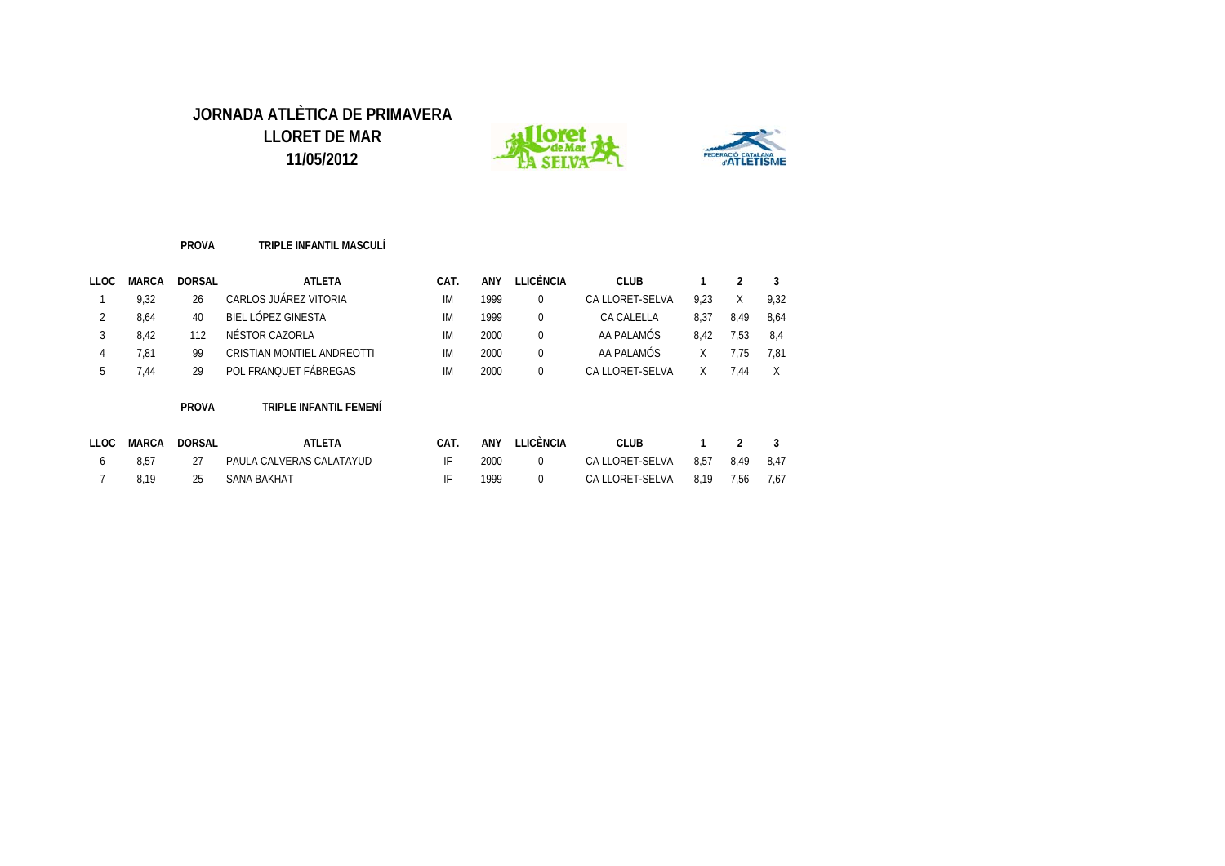



#### **PROVA TRIPLE INFANTIL MASCULÍ**

| LLOC | <b>MARCA</b> | <b>DORSAL</b> | <b>ATLETA</b>              | CAT. | ANY  | LICÈNCIA. | CLUB            |      |      |      |
|------|--------------|---------------|----------------------------|------|------|-----------|-----------------|------|------|------|
|      | 9.32         | 26            | CARLOS JUÁREZ VITORIA      | IM   | 1999 |           | CA LLORET-SELVA | 9.23 | X    | 9.32 |
|      | 8.64         | 40            | BIEL LÓPEZ GINESTA         | IM   | 1999 |           | CA CALELLA      | 8.37 | 8.49 | 8.64 |
|      | 8.42         | 112           | NÉSTOR CAZORLA             | ΙM   | 2000 |           | AA PALAMÓS      | 8.42 | 1.53 | -8.4 |
|      | 7.81         | 99            | CRISTIAN MONTIEL ANDREOTTI | IM   | 2000 |           | AA PALAMÓS      |      | '.75 | 7.81 |
|      | .44          | 29            | POL FRANQUET FÁBREGAS      | IM   | 2000 |           | CA LLORET-SELVA |      | .44  |      |

#### **PROVA TRIPLE INFANTIL FEMENÍ**

| LLOC | MARCA | DORSAL | ATLETA                   | ANY  | LLICÈNCIA | CLUB            |                |      |      |
|------|-------|--------|--------------------------|------|-----------|-----------------|----------------|------|------|
|      | 8.57  |        | PAULA CALVERAS CALATAYUD | 2000 |           | CA LLORET-SELVA | 8.57           | 8.49 | 8.47 |
|      | 8.19  | 25     | SANA BAKHAT              | 1999 |           | CA LLORET-SELVA | 8.19 7.56 7.67 |      |      |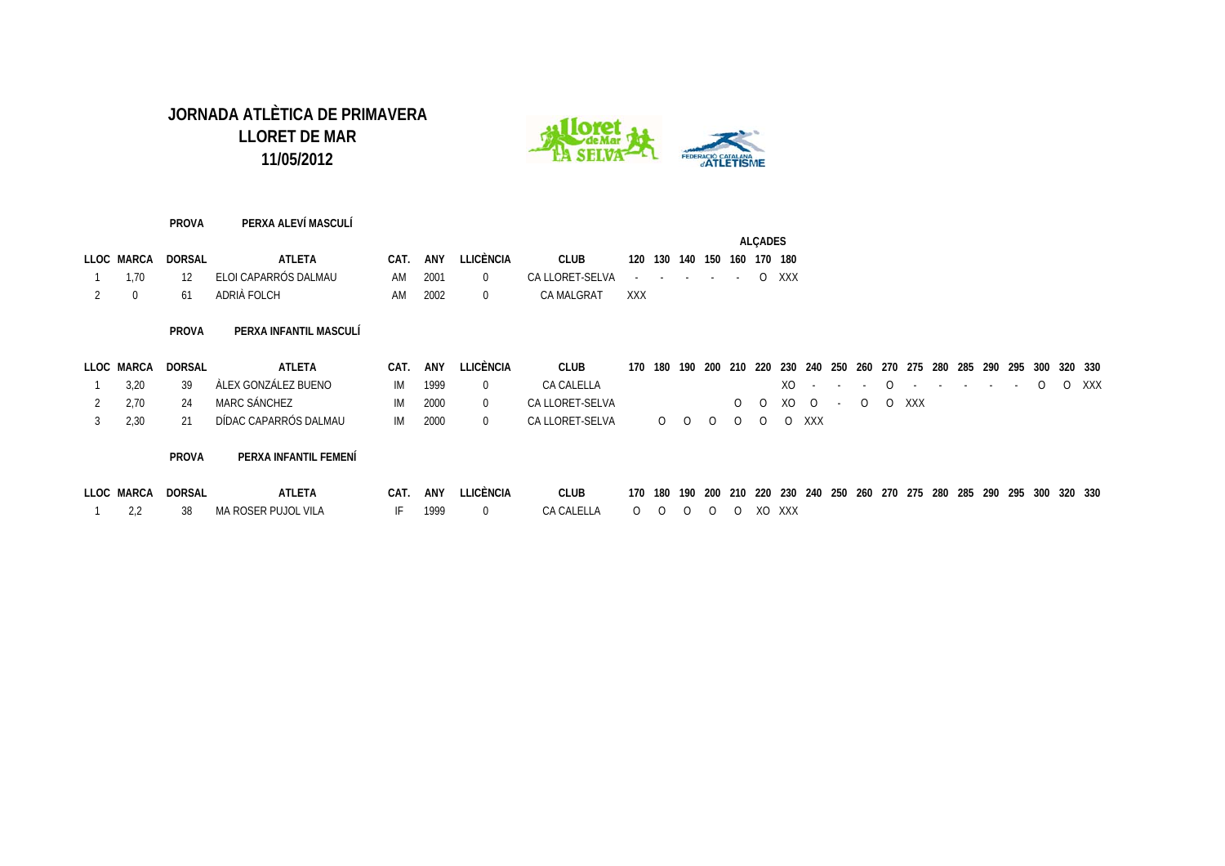

#### **PROVA PERXA ALEVÍ MASCULÍ**

|            |        |                         |      |         |           |                                  |     |  |                             | <b>ALCADES</b> |  |
|------------|--------|-------------------------|------|---------|-----------|----------------------------------|-----|--|-----------------------------|----------------|--|
| LLOC MARCA | DORSAL | ATLETA                  | CAT. | ANY     | LLICÈNCIA | <b>CLUB</b>                      |     |  | 120 130 140 150 160 170 180 |                |  |
| 1.70       |        | 12 ELOI CAPARRÓS DALMAU |      | AM 2001 |           | CALLORET-SELVA - - - - - - O XXX |     |  |                             |                |  |
|            | 61     | ADRIÀ FOLCH             | AM   | 2002    |           | CA MALGRAT                       | XXX |  |                             |                |  |

#### **PROVA PERXA INFANTIL MASCULÍ**

|            | LLOC MARCA DORSAL | ATLETA                   |         | CAT. ANY LLICÈNCIA | CLUB                         |  |  |  |  |  |             |  |  |  | 170 180 190 200 210 220 230 240 250 260 270 275 280 285 290 295 300 320 330            |
|------------|-------------------|--------------------------|---------|--------------------|------------------------------|--|--|--|--|--|-------------|--|--|--|----------------------------------------------------------------------------------------|
| $1 \t3.20$ |                   | 39   ÀLEX GONZÁLEZ BUENO |         | IM 1999 0          | CA CALELLA                   |  |  |  |  |  |             |  |  |  | $XO \quad - \quad - \quad O \quad - \quad - \quad - \quad - \quad O \quad O \quad XXX$ |
| 2 2.70     |                   | 24 MARC SÁNCHEZ          | IM 2000 | $\overline{0}$     | CA LLORET-SELVA              |  |  |  |  |  | 00X00-00XXX |  |  |  |                                                                                        |
| 3 2.30     | 21                | DÍDAC CAPARRÓS DALMAU    | IM 2000 | $\overline{0}$     | CALLORET-SELVA O O O O O XXX |  |  |  |  |  |             |  |  |  |                                                                                        |

#### **PROVA PERXA INFANTIL FEMENÍ**

| LLOC MARCA | DORSAL | ATLETA              | CAT |      | ANY LLICÈNCIA – | <b>CLUB</b> |  |  |             | 170 180 190 200 210 220 230 240 250 260 270 275 280 285 290 295 300 320 330 |  |  |  |  |  |  |
|------------|--------|---------------------|-----|------|-----------------|-------------|--|--|-------------|-----------------------------------------------------------------------------|--|--|--|--|--|--|
|            |        | MA ROSER PUJOL VILA |     | 1999 |                 | CA CALELLA  |  |  | OOOOOOXOXXX |                                                                             |  |  |  |  |  |  |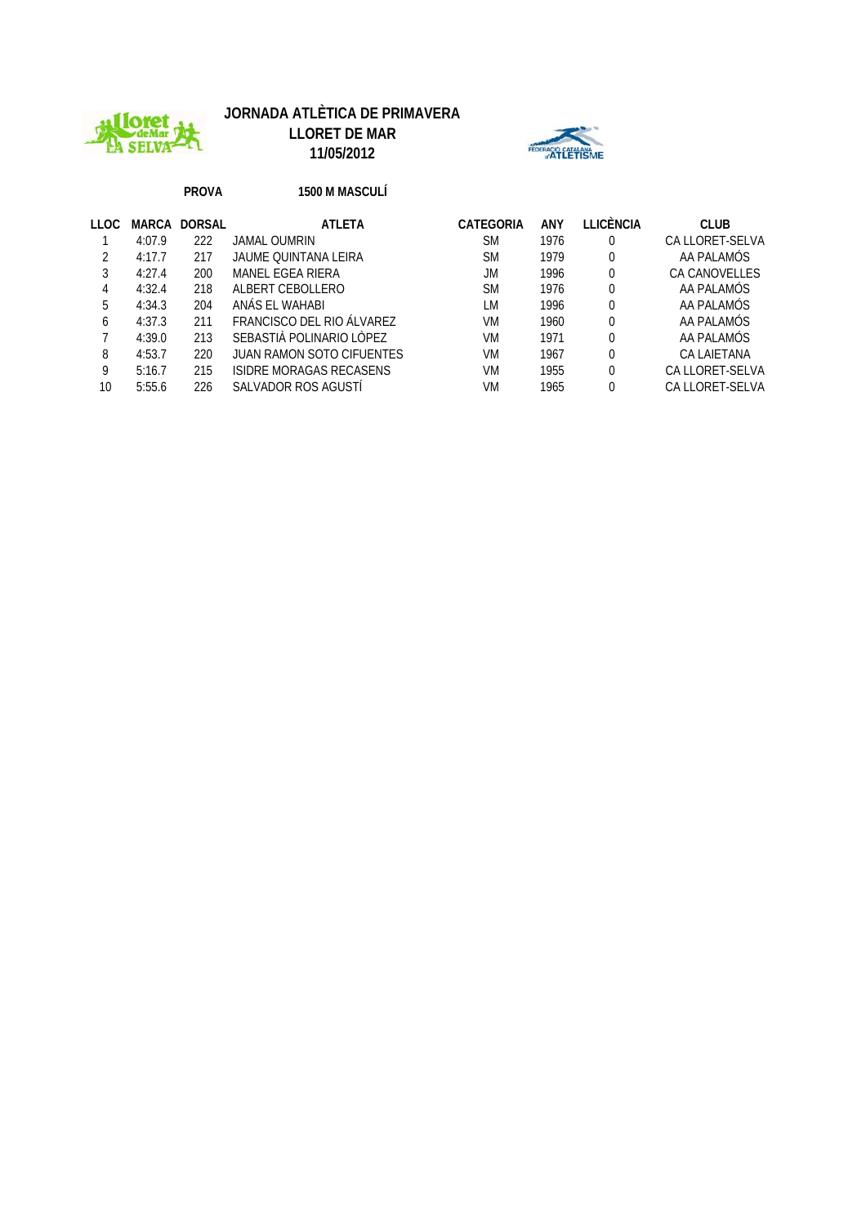

# **JORNADA ATLÈTICA DE PRIMAVERA**

**LLORET DE MAR 11/05/2012**



#### **PROVA 1500 M MASCULÍ**

| LLOC | MARCA  | DORSAL | <b>ATLETA</b>                    | CATEGORIA | ANY  | LLICÈNCIA | <b>CLUB</b>          |
|------|--------|--------|----------------------------------|-----------|------|-----------|----------------------|
|      | 4:07.9 | 222    | JAMAL OUMRIN                     | <b>SM</b> | 1976 | 0         | CA LLORET-SELVA      |
|      | 4:17.7 | 217    | JAUME OUINTANA LEIRA             | <b>SM</b> | 1979 | 0         | AA PALAMÓS           |
|      | 4:27.4 | 200    | MANEL EGEA RIERA                 | JM        | 1996 | 0         | <b>CA CANOVELLES</b> |
| 4    | 4:32.4 | 218    | ALBERT CEBOLLERO                 | <b>SM</b> | 1976 | 0         | AA PALAMÓS           |
| 5    | 4:34.3 | 204    | ANÁS EL WAHABI                   | LM        | 1996 | 0         | AA PALAMÓS           |
| 6    | 4:37.3 | 211    | FRANCISCO DEL RIO ÁLVAREZ        | VM        | 1960 | 0         | AA PALAMÓS           |
|      | 4:39.0 | 213    | SEBASTIÀ POLINARIO LÒPEZ         | VM        | 1971 | 0         | AA PALAMÓS           |
| 8    | 4:53.7 | 220    | <b>JUAN RAMON SOTO CIFUENTES</b> | VM        | 1967 | 0         | CA LAIETANA          |
| 9    | 5:16.7 | 215    | ISIDRE MORAGAS RECASENS          | VM        | 1955 | 0         | CA LLORET-SELVA      |
| 10   | 5:55.6 | 226    | SALVADOR ROS AGUSTI              | VM        | 1965 |           | CA LLORET-SELVA      |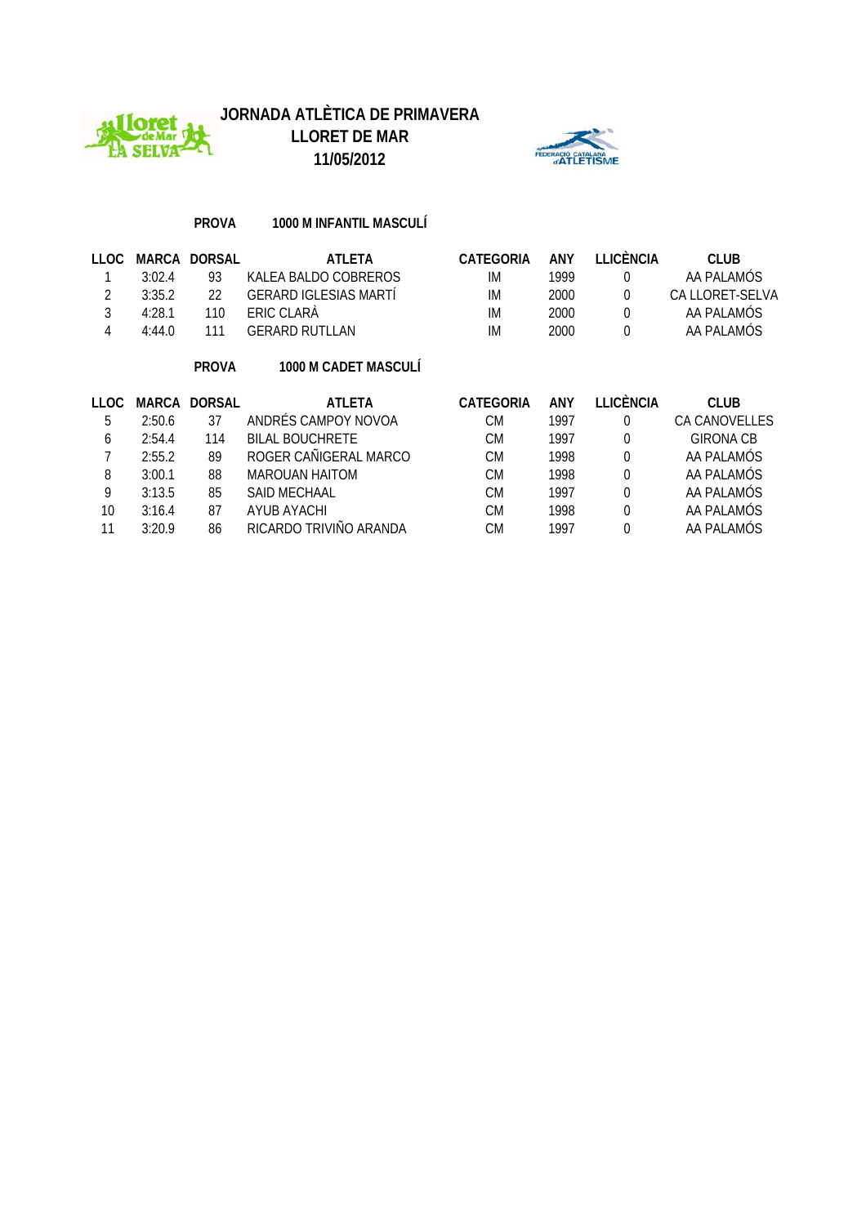



#### **PROVA 1000 M INFANTIL MASCULÍ**

| <b>LLOC</b> | <b>MARCA</b> | <b>DORSAL</b> | <b>ATLETA</b>                | <b>CATEGORIA</b> | <b>ANY</b> | <b>LLICÈNCIA</b> | <b>CLUB</b>          |
|-------------|--------------|---------------|------------------------------|------------------|------------|------------------|----------------------|
|             | 3:02.4       | 93            | KALEA BALDO COBREROS         | IM               | 1999       | 0                | AA PALAMÓS           |
| 2           | 3:35.2       | 22            | <b>GERARD IGLESIAS MARTI</b> | IM               | 2000       | 0                | CA LLORET-SELVA      |
| 3           | 4:28.1       | 110           | ERIC CLARA                   | IM               | 2000       | $\theta$         | AA PALAMÓS           |
| 4           | 4:44.0       | 111           | <b>GERARD RUTLLAN</b>        | IM               | 2000       | $\theta$         | AA PALAMÓS           |
|             |              | <b>PROVA</b>  | 1000 M CADET MASCULI         |                  |            |                  |                      |
|             |              |               |                              |                  |            |                  |                      |
| <b>LLOC</b> | <b>MARCA</b> | <b>DORSAL</b> | ATLETA                       | <b>CATEGORIA</b> | <b>ANY</b> | <b>LLICÈNCIA</b> | <b>CLUB</b>          |
| 5           | 2:50.6       | 37            | ANDRÉS CAMPOY NOVOA          | <b>CM</b>        | 1997       | 0                | <b>CA CANOVELLES</b> |
| 6           | 2:54.4       | 114           | <b>BILAL BOUCHRETE</b>       | <b>CM</b>        | 1997       | $\theta$         | <b>GIRONA CB</b>     |
| 7           | 2:55.2       | 89            | ROGER CAÑIGERAL MARCO        | <b>CM</b>        | 1998       | $\theta$         | AA PALAMÓS           |
| 8           | 3:00.1       | 88            | MAROUAN HAITOM               | <b>CM</b>        | 1998       | $\theta$         | AA PALAMÓS           |
| 9           | 3:13.5       | 85            | SAID MECHAAL                 | <b>CM</b>        | 1997       | $\theta$         | AA PALAMÓS           |
| 10          | 3:16.4       | 87            | <b>AYUB AYACHI</b>           | <b>CM</b>        | 1998       | $\theta$         | AA PALAMÓS           |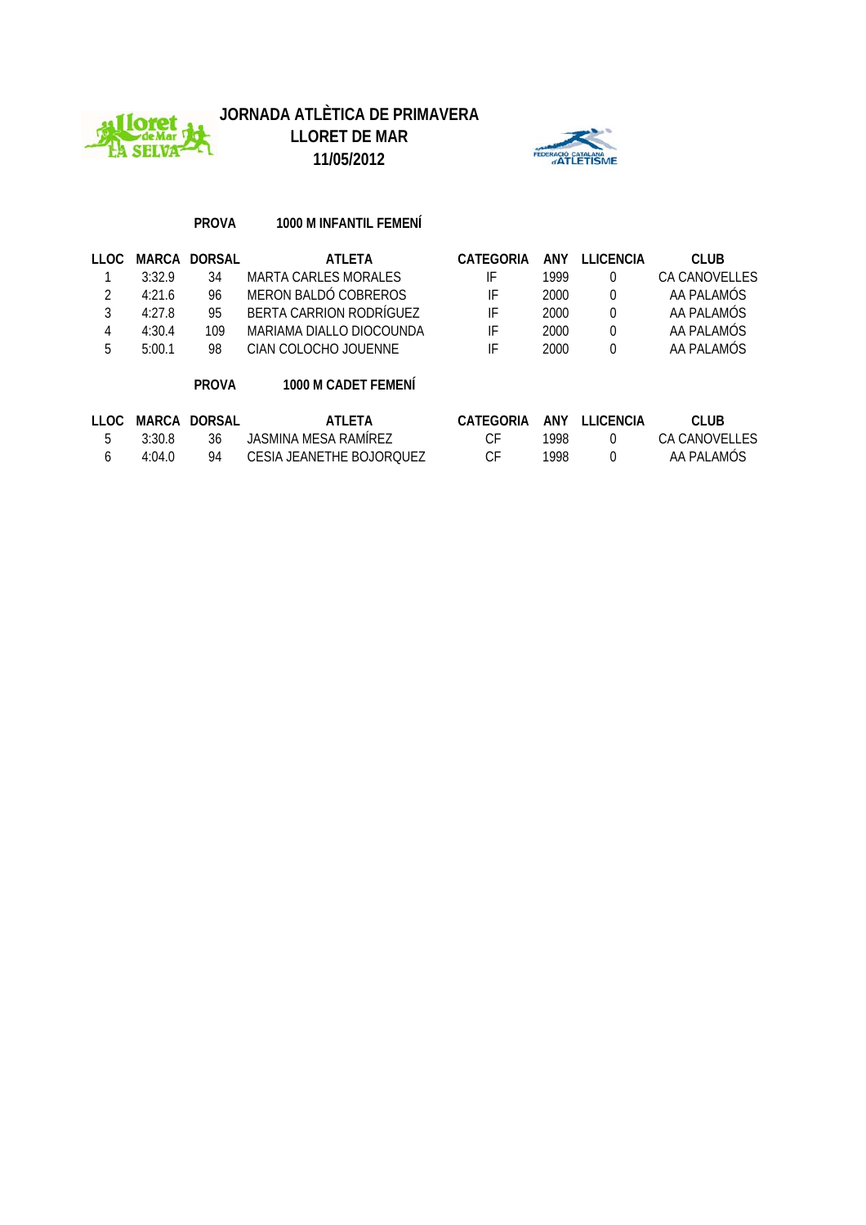



#### **PROVA 1000 M INFANTIL FEMENÍ**

| 11 O.C |        | MARCA DORSAL | ATI FTA                  | <b>CATEGORIA</b> | ANY  | <b>ILICENCIA</b> | <b>CLUB</b>   |
|--------|--------|--------------|--------------------------|------------------|------|------------------|---------------|
|        | 3:32.9 | 34           | MARTA CARLES MORALES     | IF               | 1999 |                  | CA CANOVELLES |
|        | 4:21.6 | 96           | MERON BALDÓ COBREROS     | IF               | 2000 | $\Omega$         | AA PALAMÓS    |
|        | 4:27.8 | 95           | BERTA CARRION RODRÍGUEZ  | IF               | 2000 | $\left( \right)$ | AA PALAMÓS    |
|        | 4:30.4 | 109          | MARIAMA DIALLO DIOCOUNDA | IF               | 2000 | $\left( \right)$ | AA PALAMÓS    |
| b      | 5:00.1 | 98           | CIAN COLOCHO JOUENNE     | IF               | 2000 |                  | AA PALAMÓS    |
|        |        |              |                          |                  |      |                  |               |

#### **PROVA 1000 M CADET FEMENÍ**

|                   | LLOC MARCA DORSAL | ATI FTA                  | CATEGORIA ANY LLICENCIA |      | CLUB.         |
|-------------------|-------------------|--------------------------|-------------------------|------|---------------|
| 3.30 R            | -36               | JASMINA MESA RAMÍREZ     |                         | 1998 | CA CANOVELLES |
| 4.04 <sub>0</sub> | 94                | CESIA JEANETHE BOJOROUEZ |                         | 1998 | AA PAI AMOS   |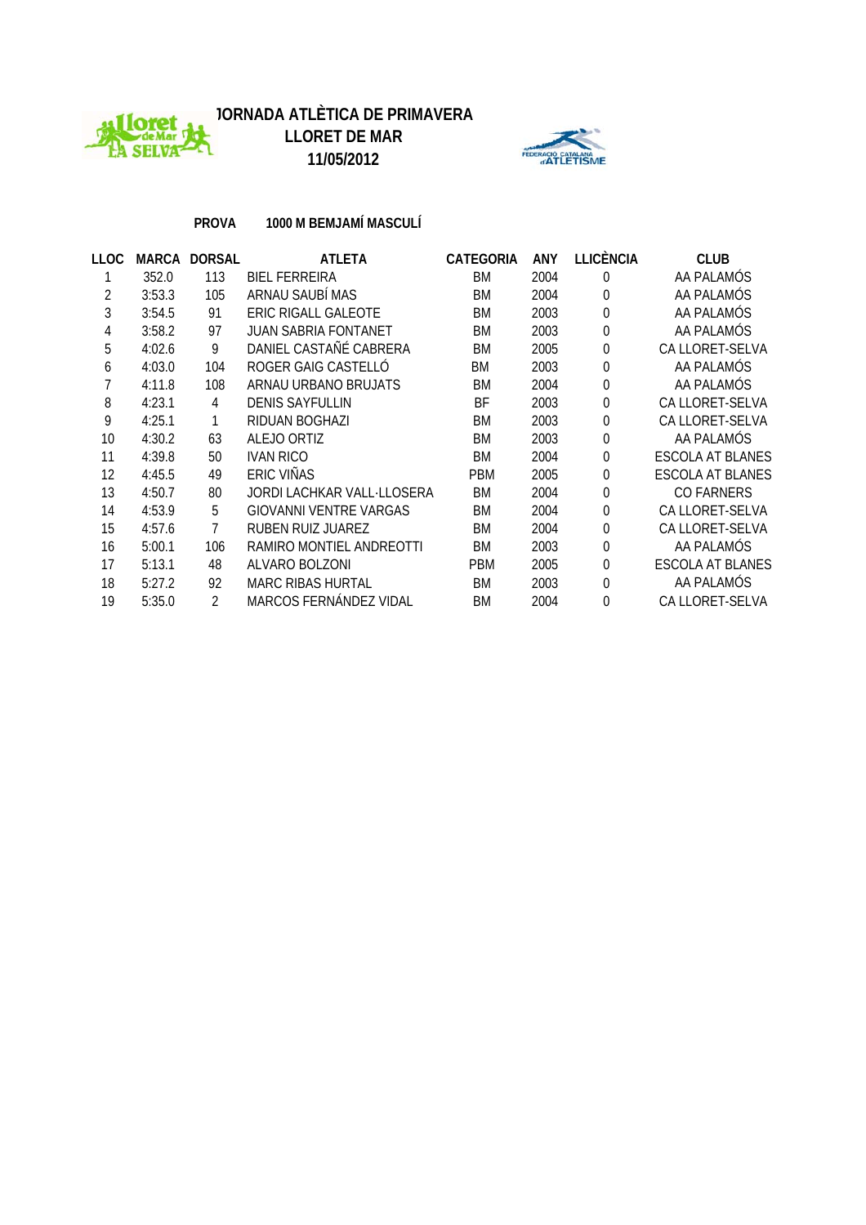



**PROVA 1000 M BEMJAMÍ MASCULÍ**

| LLOC |        | MARCA DORSAL | <b>ATLETA</b>               | <b>CATEGORIA</b> | <b>ANY</b> | <b>LLICÈNCIA</b> | <b>CLUB</b>             |
|------|--------|--------------|-----------------------------|------------------|------------|------------------|-------------------------|
|      | 352.0  | 113          | <b>BIEL FERREIRA</b>        | BM               | 2004       | $\Omega$         | AA PALAMÓS              |
| 2    | 3:53.3 | 105          | ARNAU SAUBÍ MAS             | BM               | 2004       | $\Omega$         | AA PALAMÓS              |
| 3    | 3:54.5 | 91           | ERIC RIGALL GALEOTE         | <b>BM</b>        | 2003       | $\Omega$         | AA PALAMÓS              |
| 4    | 3:58.2 | 97           | <b>JUAN SABRIA FONTANET</b> | <b>BM</b>        | 2003       | $\Omega$         | AA PALAMÓS              |
| 5    | 4:02.6 | 9            | DANIEL CASTAÑÉ CABRERA      | <b>BM</b>        | 2005       | 0                | CA LLORET-SELVA         |
| 6    | 4:03.0 | 104          | ROGER GAIG CASTELLO         | BM               | 2003       | $\theta$         | AA PALAMÓS              |
|      | 4:11.8 | 108          | ARNAU URBANO BRUJATS        | <b>BM</b>        | 2004       | 0                | AA PALAMÓS              |
| 8    | 4:23.1 | 4            | <b>DENIS SAYFULLIN</b>      | ВF               | 2003       | 0                | CA LLORET-SELVA         |
| 9    | 4:25.1 | 1            | RIDUAN BOGHAZI              | <b>BM</b>        | 2003       | $\Omega$         | CA LLORET-SELVA         |
| 10   | 4:30.2 | 63           | ALEJO ORTIZ                 | BM               | 2003       | $\Omega$         | AA PALAMÓS              |
| 11   | 4:39.8 | 50           | <b>IVAN RICO</b>            | BM               | 2004       | $\theta$         | <b>ESCOLA AT BLANES</b> |
| 12   | 4:45.5 | 49           | ERIC VIÑAS                  | <b>PBM</b>       | 2005       | 0                | <b>ESCOLA AT BLANES</b> |
| 13   | 4:50.7 | 80           | JORDI LACHKAR VALL-LLOSERA  | BM               | 2004       | $\theta$         | <b>CO FARNERS</b>       |
| 14   | 4:53.9 | 5            | GIOVANNI VENTRE VARGAS      | <b>BM</b>        | 2004       | 0                | CA LLORET-SELVA         |
| 15   | 4:57.6 |              | RUBEN RUIZ JUAREZ           | BM               | 2004       | 0                | CA LLORET-SELVA         |
| 16   | 5:00.1 | 106          | RAMIRO MONTIEL ANDREOTTI    | <b>BM</b>        | 2003       | $\theta$         | AA PALAMÓS              |
| 17   | 5:13.1 | 48           | ALVARO BOLZONI              | <b>PBM</b>       | 2005       | $\Omega$         | <b>ESCOLA AT BLANES</b> |
| 18   | 5:27.2 | 92           | <b>MARC RIBAS HURTAL</b>    | BM               | 2003       | $\Omega$         | AA PALAMÓS              |
| 19   | 5:35.0 | 2            | MARCOS FERNÁNDEZ VIDAL      | BM               | 2004       | $\Omega$         | CA LLORET-SELVA         |
|      |        |              |                             |                  |            |                  |                         |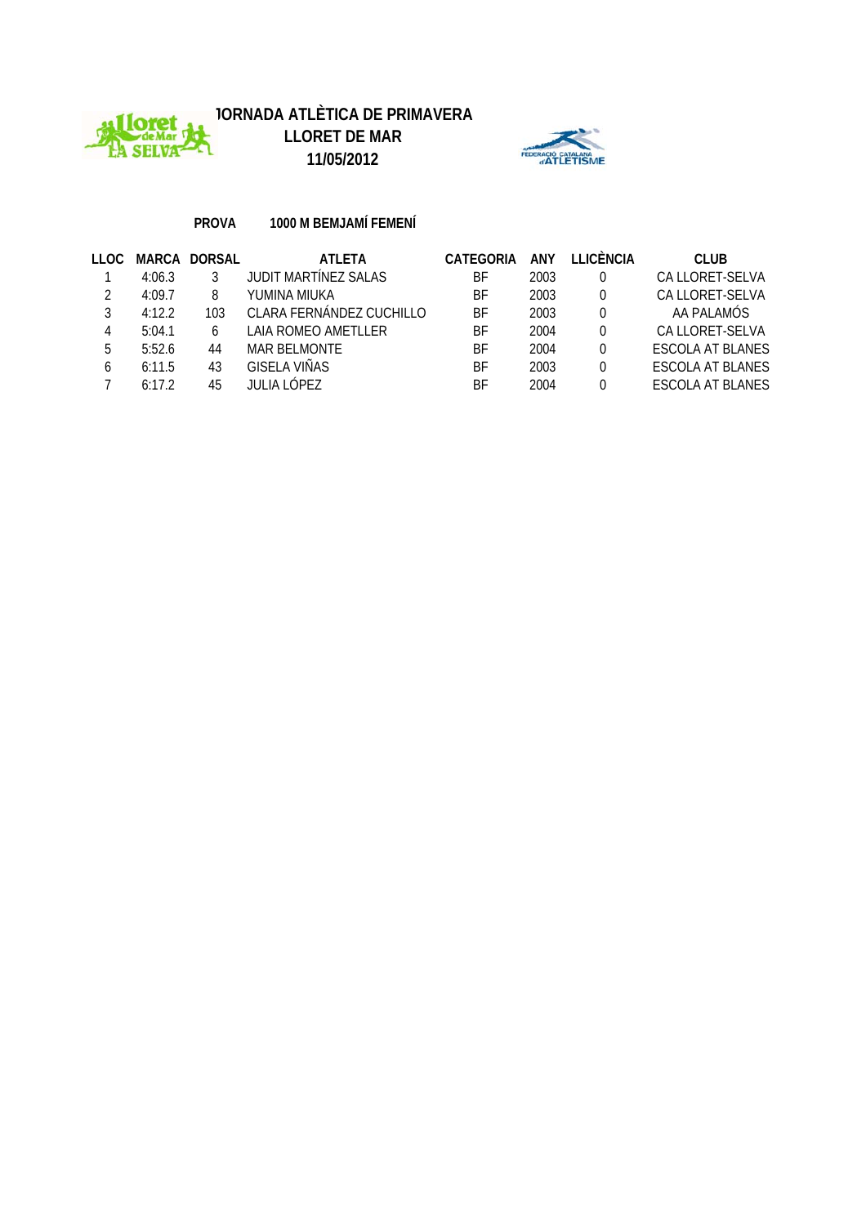



**PROVA 1000 M BEMJAMÍ FEMENÍ**

| 11 O.C | MARCA  | <b>DORSAL</b> | <b>ATLETA</b>               | CATEGORIA | <b>ANY</b> | <b>I LICÈNCIA</b> | <b>CLUB</b>             |
|--------|--------|---------------|-----------------------------|-----------|------------|-------------------|-------------------------|
|        | 4:06.3 |               | <b>JUDIT MARTÍNEZ SALAS</b> | ВF        | 2003       | 0                 | CA LLORET-SELVA         |
|        | 4:09.7 |               | YUMINA MIUKA                | ВF        | 2003       | 0                 | CA LLORET-SELVA         |
|        | 4:12.2 | 103           | CLARA FERNÁNDEZ CUCHILLO    | BF        | 2003       | 0                 | AA PALAMÓS              |
|        | 5:04.1 |               | LAIA ROMEO AMETLLER         | ВF        | 2004       | 0                 | CA LLORET-SELVA         |
| 5      | 5:52.6 | 44            | <b>MAR BELMONTE</b>         | ВF        | 2004       | 0                 | <b>ESCOLA AT BLANES</b> |
| 6      | 6:11.5 | 43            | <b>GISELA VIÑAS</b>         | ВF        | 2003       | 0                 | <b>ESCOLA AT BLANES</b> |
|        | 6.172  | 45            | JULIA LÓPEZ                 | ВF        | 2004       | 0                 | ESCOLA AT BLANES        |
|        |        |               |                             |           |            |                   |                         |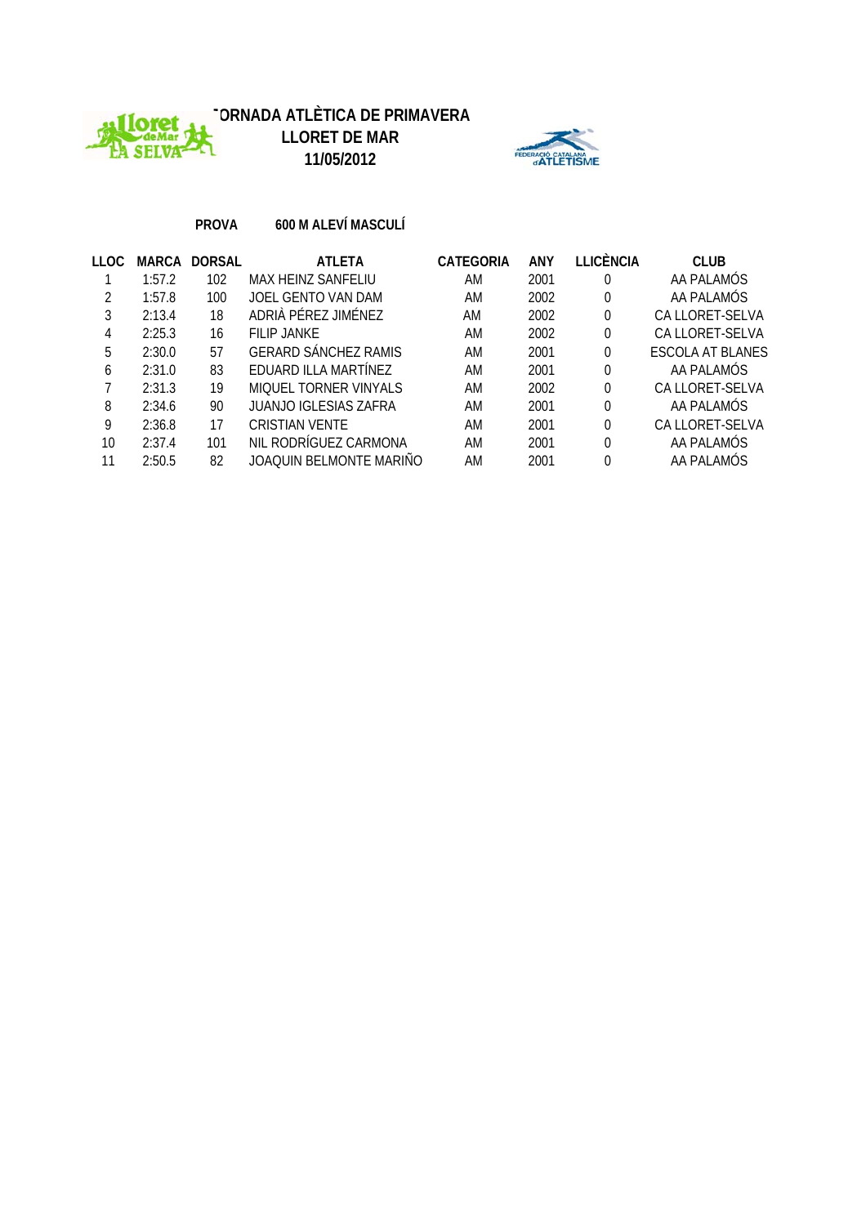



 $AE$ 

AGIO<br>2011

**PROVA 600 M ALEVÍ MASCULÍ**

| LLOC. |        | <b>MARCA DORSAL</b> | <b>ATLETA</b>               | CATEGORIA | ANY  | LLICÈNCIA | <b>CLUB</b>             |
|-------|--------|---------------------|-----------------------------|-----------|------|-----------|-------------------------|
|       | 1:57.2 | 102                 | MAX HEINZ SANFELIU          | AM        | 2001 | 0         | AA PALAMÓS              |
|       | 1:57.8 | 100                 | JOEL GENTO VAN DAM          | AM        | 2002 | 0         | AA PALAMÓS              |
|       | 2:13.4 | 18                  | ADRIÀ PÉREZ JIMÉNEZ         | AM        | 2002 | 0         | CA LLORET-SELVA         |
| 4     | 2:25.3 | 16                  | FILIP JANKE                 | AM        | 2002 | 0         | CA LLORET-SELVA         |
| 5     | 2:30.0 | 57                  | <b>GERARD SÁNCHEZ RAMIS</b> | AM        | 2001 |           | <b>ESCOLA AT BLANES</b> |
| 6     | 2:31.0 | 83                  | EDUARD ILLA MARTÍNEZ        | AM        | 2001 |           | AA PALAMÓS              |
|       | 2:31.3 | 19                  | MIOUEL TORNER VINYALS       | AM        | 2002 |           | CA LLORET-SELVA         |
| 8     | 2:34.6 | 90                  | JUANJO IGLESIAS ZAFRA       | AM        | 2001 | 0         | AA PALAMÓS              |
| 9     | 2:36.8 | 17                  | <b>CRISTIAN VENTE</b>       | AM        | 2001 |           | CA LLORET-SELVA         |
| 10    | 2:37.4 | 101                 | NIL RODRÍGUEZ CARMONA       | AM        | 2001 | $\Omega$  | AA PALAMÓS              |
| 11    | 2:50.5 | 82                  | JOAQUIN BELMONTE MARIÑO     | AM        | 2001 |           | AA PALAMÓS              |
|       |        |                     |                             |           |      |           |                         |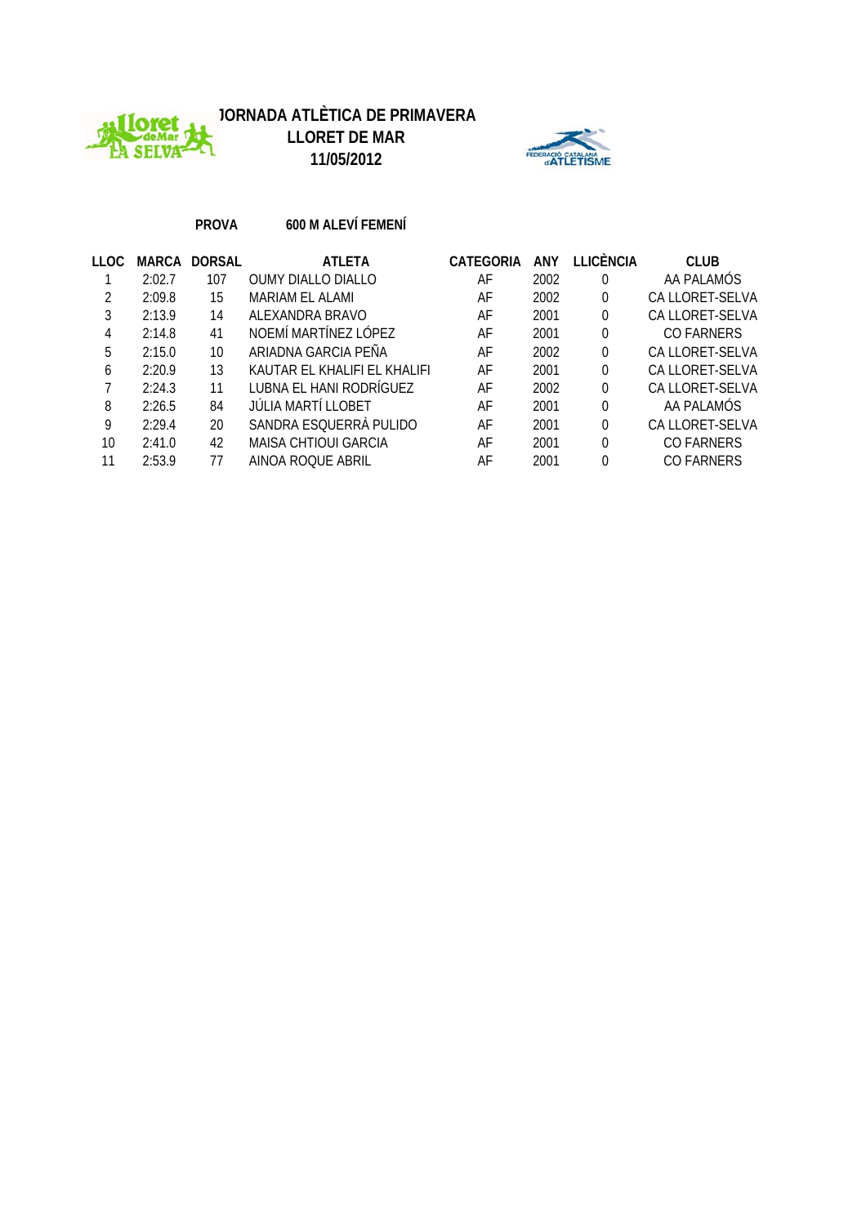





## **PROVA 600 M ALEVÍ FEMENÍ**

| LLOC | MARCA  | <b>DORSAL</b> | <b>ATLETA</b>               | CATEGORIA | ANY  | LLICÈNCIA | <b>CLUB</b>       |
|------|--------|---------------|-----------------------------|-----------|------|-----------|-------------------|
|      | 2:02.7 | 107           | <b>OUMY DIALLO DIALLO</b>   | AF        | 2002 | 0         | AA PALAMÓS        |
|      | 2:09.8 | 15            | MARIAM EL ALAMI             | AF        | 2002 | 0         | CA LLORET-SELVA   |
|      | 2:13.9 | 14            | ALEXANDRA BRAVO             | AF        | 2001 | 0         | CA LLORET-SELVA   |
| 4    | 2:14.8 | 41            | NOEMÍ MARTÍNEZ LÓPEZ        | AF        | 2001 | 0         | <b>CO FARNERS</b> |
| 5    | 2:15.0 | 10            | ARIADNA GARCIA PEÑA         | AF        | 2002 | 0         | CA LLORET-SELVA   |
| 6    | 2:20.9 | 13            | KAUTAR FL KHALIFLFL KHALIFL | AF        | 2001 | 0         | CA LLORET-SELVA   |
|      | 2:24.3 | 11            | LUBNA EL HANI RODRÍGUEZ     | AF        | 2002 | 0         | CA LLORET-SELVA   |
| 8    | 2:26.5 | 84            | JÚLIA MARTÍ LLOBET          | AF        | 2001 | 0         | AA PALAMÓS        |
| 9    | 2:29.4 | 20            | SANDRA ESQUERRÀ PULIDO      | AF        | 2001 | 0         | CA LLORET-SELVA   |
| 10   | 2:41.0 | 42            | MAISA CHTIOUI GARCIA        | AF        | 2001 | 0         | CO FARNERS        |
| 11   | 2:53.9 | 77            | AINOA ROOUE ABRIL           | AF        | 2001 | 0         | <b>CO FARNERS</b> |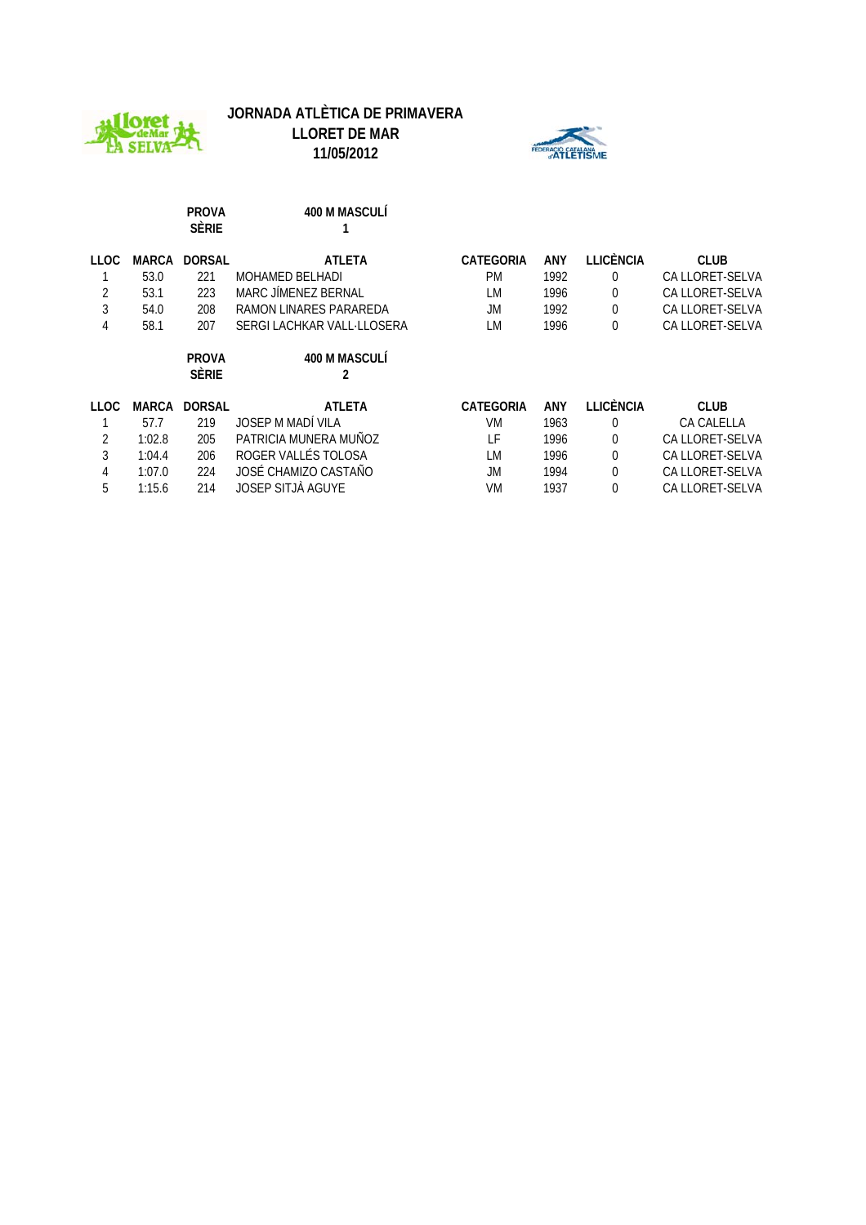





|             |              | <b>PROVA</b><br><b>SÈRIE</b> | 400 M MASCULÍ              |                  |      |                  |                   |
|-------------|--------------|------------------------------|----------------------------|------------------|------|------------------|-------------------|
| <b>LLOC</b> | <b>MARCA</b> | <b>DORSAL</b>                | <b>ATLETA</b>              | CATEGORIA        | ANY  | <b>LLICÈNCIA</b> | <b>CLUB</b>       |
|             | 53.0         | 221                          | <b>MOHAMED BELHADI</b>     | <b>PM</b>        | 1992 | $\theta$         | CA LLORET-SELVA   |
| 2           | 53.1         | 223                          | MARC JÍMENEZ BERNAL        | LM               | 1996 | 0                | CA LLORET-SELVA   |
| 3           | 54.0         | 208                          | RAMON LINARES PARAREDA     | JM               | 1992 | 0                | CA LLORET-SELVA   |
| 4           | 58.1         | 207                          | SERGI LACHKAR VALL-LLOSERA | LM               | 1996 | 0                | CA LLORET-SELVA   |
|             |              | <b>PROVA</b><br><b>SÈRIE</b> | 400 M MASCULÍ<br>2         |                  |      |                  |                   |
| LLOC        | <b>MARCA</b> | <b>DORSAL</b>                | <b>ATLETA</b>              | <b>CATEGORIA</b> | ANY  | LLICÈNCIA        | <b>CLUB</b>       |
|             | 57.7         | 219                          | JOSEP M MADÍ VILA          | VM               | 1963 | 0                | <b>CA CALELLA</b> |
| 2           | 1:02.8       | 205                          | PATRICIA MUNERA MUÑOZ      | ΤF               | 1996 | 0                | CA LLORET-SELVA   |
| 3           | 1:04.4       | 206                          | ROGER VALLÉS TOLOSA        | LM               | 1996 | 0                | CA LLORET-SELVA   |
| 4           | 1:07.0       | 224                          | JOSÉ CHAMIZO CASTAÑO       | JM.              | 1994 | $\theta$         | CA LLORET-SELVA   |
| 5           | 1:15.6       | 214                          | JOSEP SITJÀ AGUYE          | VM               | 1937 | 0                | CA LLORET-SELVA   |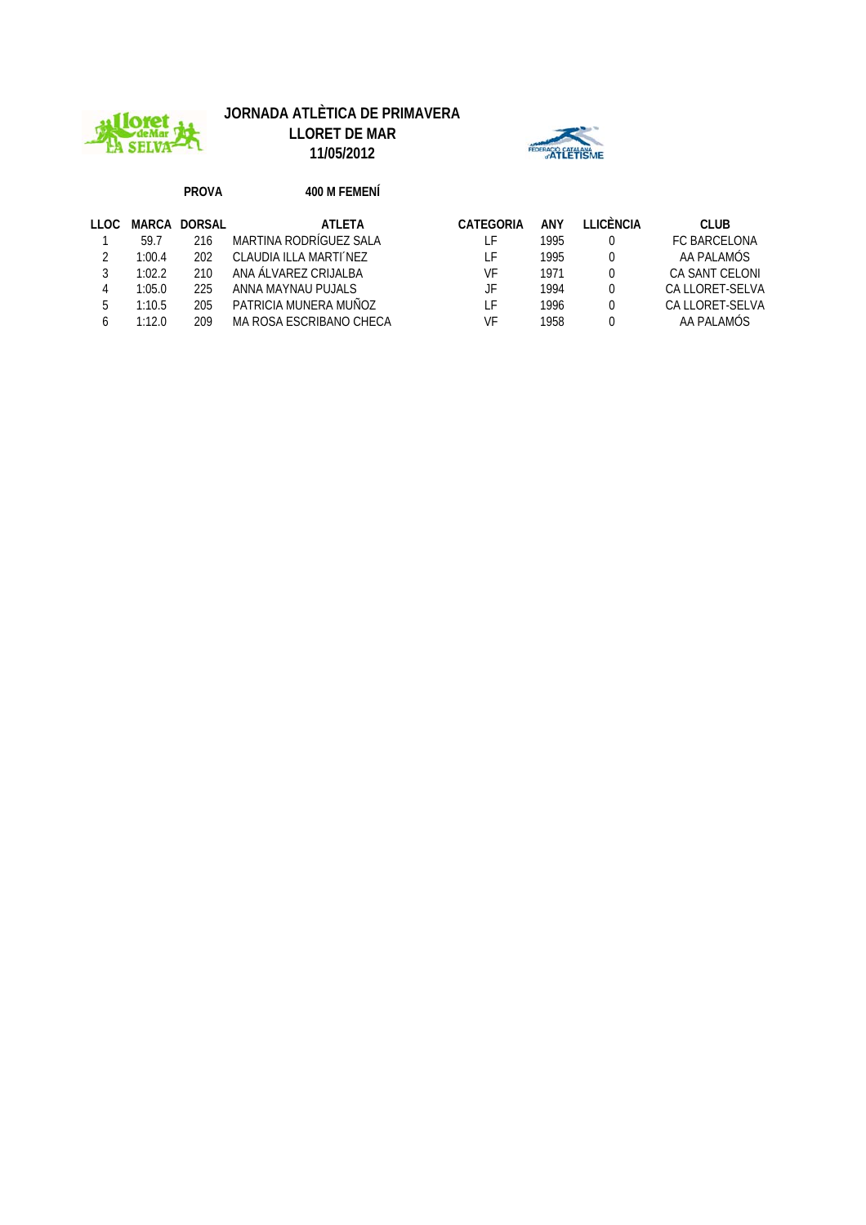

# **JORNADA ATLÈTICA DE PRIMAVERA**

**LLORET DE MAR 11/05/2012**



#### **PROVA 400 M FEMENÍ**

| LLOC. | MARCA  | DORSAL | ATI FTA                 | CATEGORIA | ANY  | LICÈNCIA | <b>CLUB</b>         |
|-------|--------|--------|-------------------------|-----------|------|----------|---------------------|
|       | 59.7   | 216    | MARTINA RODRÍGUEZ SALA  | F         | 1995 |          | <b>FC BARCELONA</b> |
|       | 1:00.4 | 202    | CLAUDIA ILLA MARTIALEZ  | F         | 1995 |          | AA PALAMÓS          |
|       | 1:02.2 | 210    | ANA ÁI VAREZ CRUALBA    | VF        | 1971 |          | CA SANT CELONI      |
| 4     | 1:05.0 | 225    | ANNA MAYNAU PUJALS      | JF        | 1994 |          | CA LLORET-SELVA     |
| 5     | 1:10.5 | 205    | PATRICIA MUNERA MUÑOZ   | F         | 1996 |          | CA LLORET-SELVA     |
|       | 1:12.0 | 209    | MA ROSA ESCRIBANO CHECA | VF        | 1958 |          | AA PALAMÓS          |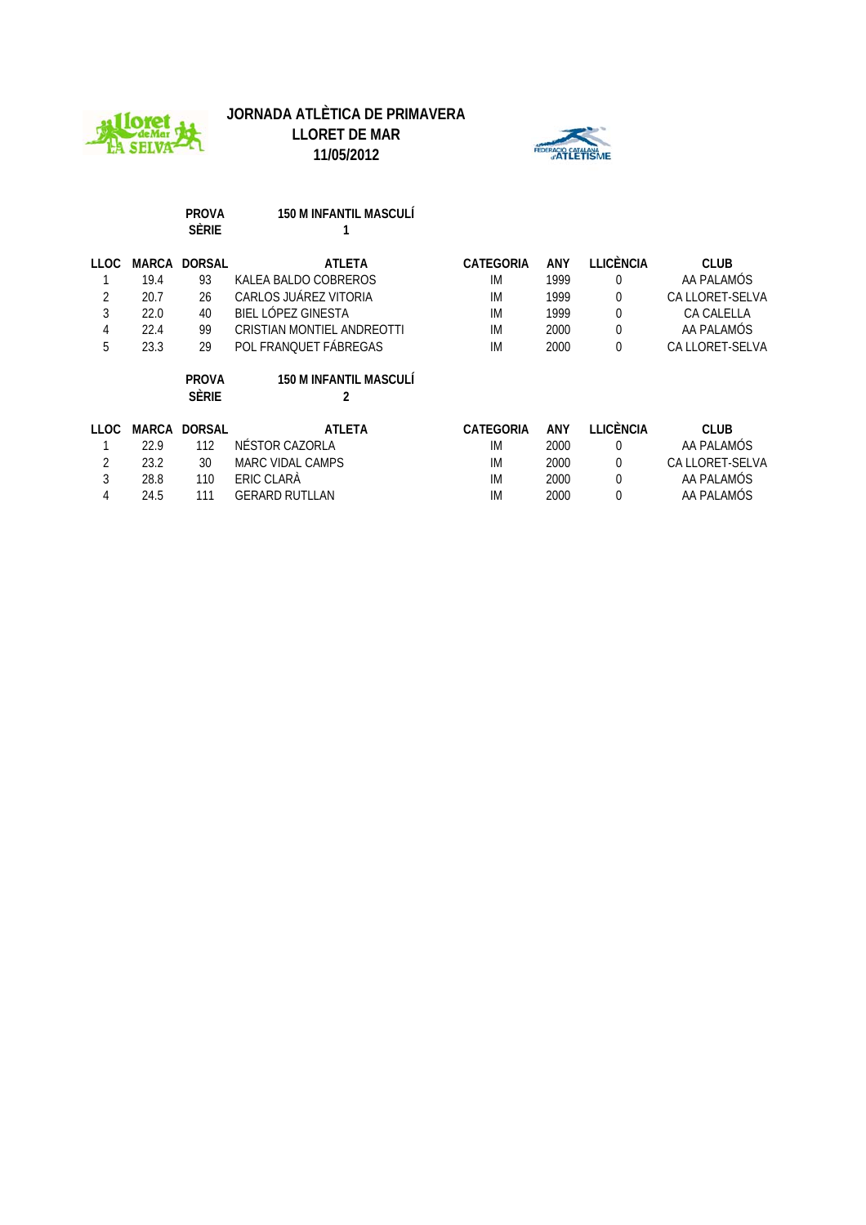





|      |       | <b>PROVA</b><br><b>SÈRIE</b> | <b>150 M INFANTIL MASCULÍ</b>      |                  |      |                  |                   |
|------|-------|------------------------------|------------------------------------|------------------|------|------------------|-------------------|
| LLOC | MARCA | <b>DORSAL</b>                | <b>ATLETA</b>                      | <b>CATEGORIA</b> | ANY  | <b>LLICÈNCIA</b> | <b>CLUB</b>       |
|      | 19.4  | 93                           | KALEA BALDO COBREROS               | IM               | 1999 | $\theta$         | AA PALAMOS        |
| 2    | 20.7  | 26                           | CARLOS JUÁREZ VITORIA              | IM               | 1999 | $\mathbf 0$      | CA LLORET-SELVA   |
| 3    | 22.0  | 40                           | BIEL LÓPEZ GINESTA                 | IM               | 1999 | $\mathbf 0$      | <b>CA CALELLA</b> |
| 4    | 22.4  | 99                           | CRISTIAN MONTIEL ANDREOTTI         | IM               | 2000 | $\mathbf 0$      | AA PALAMÓS        |
| 5    | 23.3  | 29                           | POL FRANQUET FÁBREGAS              | IM               | 2000 | $\mathbf 0$      | CA LLORET-SELVA   |
|      |       | <b>PROVA</b><br><b>SÈRIE</b> | <b>150 M INFANTIL MASCULÍ</b><br>2 |                  |      |                  |                   |
| LLOC | MARCA | <b>DORSAL</b>                | <b>ATLETA</b>                      | CATEGORIA        | ANY  | <b>LLICÈNCIA</b> | <b>CLUB</b>       |
|      | 22.9  | 112                          | NÉSTOR CAZORLA                     | IM.              | 2000 | $\theta$         | AA PALAMÓS        |
| 2    | 23.2  | 30                           | MARC VIDAL CAMPS                   | IM               | 2000 | $\theta$         | CA LLORET-SELVA   |
| 3    | 28.8  | 110                          | ERIC CLARA                         | IM               | 2000 | $\Omega$         | AA PALAMÓS        |
| 4    | 24.5  | 111                          | <b>GERARD RUTLLAN</b>              | IM               | 2000 | 0                | AA PALAMÓS        |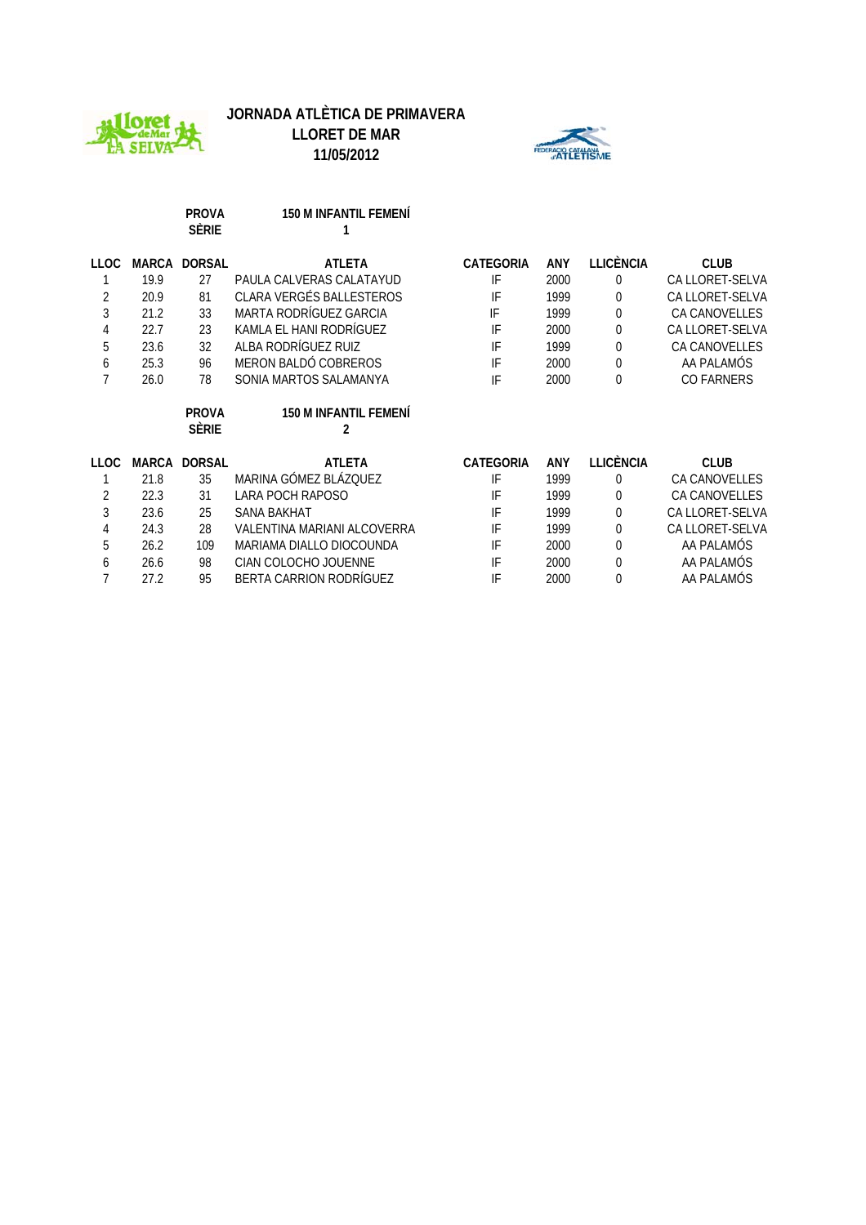



**11/05/2012**

**PROVA 150 M INFANTIL FEMENÍ**

|             |       | Sèrie                        |                                   |                  |            |                  |                      |
|-------------|-------|------------------------------|-----------------------------------|------------------|------------|------------------|----------------------|
| <b>LLOC</b> | MARCA | <b>DORSAL</b>                | <b>ATLETA</b>                     | <b>CATEGORIA</b> | <b>ANY</b> | <b>LLICÈNCIA</b> | <b>CLUB</b>          |
|             | 19.9  | 27                           | PAULA CALVERAS CALATAYUD          | IF               | 2000       | $\theta$         | CA LLORET-SELVA      |
| 2           | 20.9  | 81                           | CLARA VERGÉS BALLESTEROS          | IF               | 1999       | $\theta$         | CA LLORET-SELVA      |
| 3           | 21.2  | 33                           | MARTA RODRÍGUEZ GARCIA            | IF               | 1999       | $\theta$         | <b>CA CANOVELLES</b> |
| 4           | 22.7  | 23                           | KAMLA EL HANI RODRÍGUEZ           | IF               | 2000       | $\theta$         | CA LLORET-SELVA      |
| 5           | 23.6  | 32                           | ALBA RODRÍGUEZ RUIZ               | IF               | 1999       | $\theta$         | <b>CA CANOVELLES</b> |
| 6           | 25.3  | 96                           | MERON BALDÓ COBREROS              | IF               | 2000       | $\theta$         | AA PALAMÓS           |
| 7           | 26.0  | 78                           | SONIA MARTOS SALAMANYA            | IF               | 2000       | $\theta$         | <b>CO FARNERS</b>    |
|             |       |                              |                                   |                  |            |                  |                      |
|             |       | <b>PROVA</b><br><b>Sèrie</b> | <b>150 M INFANTIL FEMENI</b><br>2 |                  |            |                  |                      |
| <b>LLOC</b> | MARCA | <b>DORSAL</b>                | <b>ATLETA</b>                     | <b>CATEGORIA</b> | ANY        | LLICÈNCIA        | <b>CLUB</b>          |
|             | 21.8  | 35                           | MARINA GÓMEZ BLÁZOUEZ             | IF               | 1999       | $\theta$         | <b>CA CANOVELLES</b> |
| 2           | 22.3  | 31                           | LARA POCH RAPOSO                  | IF               | 1999       | $\theta$         | <b>CA CANOVELLES</b> |
| 3           | 23.6  | 25                           | <b>SANA BAKHAT</b>                | IF               | 1999       | 0                | CA LLORET-SELVA      |
| 4           | 24.3  | 28                           | VALENTINA MARIANI ALCOVERRA       | IF               | 1999       | $\Omega$         | CA LLORET-SELVA      |
| 5           | 26.2  | 109                          | MARIAMA DIALLO DIOCOUNDA          | IF               | 2000       | $\mathbf 0$      | AA PALAMÓS           |
| 6           | 26.6  | 98                           | CIAN COLOCHO JOUENNE              | IF               | 2000       | $\theta$         | AA PALAMÓS           |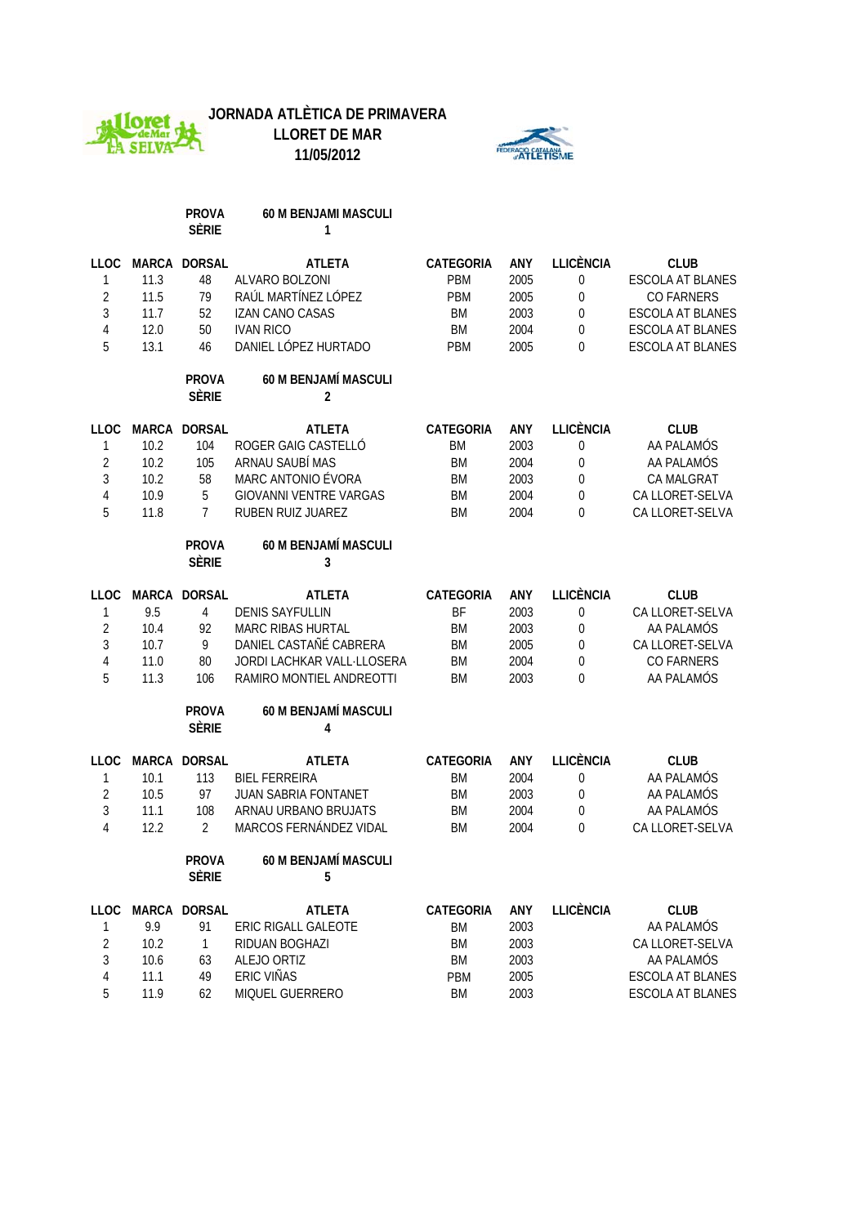

# **JORNADA ATLÈTICA DE PRIMAVERA**

**LLORET DE MAR 11/05/2012**



|                |              | <b>PROVA</b><br><b>SÈRIE</b> | 60 M BENJAMI MASCULI<br>1              |                  |            |                  |                         |
|----------------|--------------|------------------------------|----------------------------------------|------------------|------------|------------------|-------------------------|
| <b>LLOC</b>    | <b>MARCA</b> | <b>DORSAL</b>                | <b>ATLETA</b>                          | CATEGORIA        | <b>ANY</b> | <b>LLICÈNCIA</b> | <b>CLUB</b>             |
| $\mathbf{1}$   | 11.3         | 48                           | ALVARO BOLZONI                         | <b>PBM</b>       | 2005       | $\mathbf 0$      | <b>ESCOLA AT BLANES</b> |
| $\overline{2}$ | 11.5         | 79                           | RAÚL MARTÍNEZ LÓPEZ                    | PBM              | 2005       | $\pmb{0}$        | <b>CO FARNERS</b>       |
| 3              | 11.7         | 52                           | <b>IZAN CANO CASAS</b>                 | <b>BM</b>        | 2003       | $\mathbf 0$      | <b>ESCOLA AT BLANES</b> |
| 4              | 12.0         | 50                           | <b>IVAN RICO</b>                       | <b>BM</b>        | 2004       | $\Omega$         | <b>ESCOLA AT BLANES</b> |
| 5              | 13.1         | 46                           | DANIEL LÓPEZ HURTADO                   | <b>PBM</b>       | 2005       | 0                | ESCOLA AT BLANES        |
|                |              | <b>PROVA</b><br><b>SÈRIE</b> | 60 M BENJAMÍ MASCULI<br>$\overline{2}$ |                  |            |                  |                         |
| LLOC           | MARCA        | <b>DORSAL</b>                | <b>ATLETA</b>                          | <b>CATEGORIA</b> | <b>ANY</b> | <b>LLICÈNCIA</b> | <b>CLUB</b>             |
| 1              | 10.2         | 104                          | ROGER GAIG CASTELLÓ                    | <b>BM</b>        | 2003       | $\boldsymbol{0}$ | AA PALAMÓS              |
| $\overline{2}$ | 10.2         | 105                          | ARNAU SAUBÍ MAS                        | <b>BM</b>        | 2004       | $\mathbf 0$      | AA PALAMÓS              |
| 3              | 10.2         | 58                           | MARC ANTONIO ÉVORA                     | <b>BM</b>        | 2003       | $\mathbf 0$      | CA MALGRAT              |
| 4              | 10.9         | 5                            | <b>GIOVANNI VENTRE VARGAS</b>          | <b>BM</b>        | 2004       | $\Omega$         | CA LLORET-SELVA         |
| 5              | 11.8         | 7                            | RUBEN RUIZ JUAREZ                      | <b>BM</b>        | 2004       | 0                | CA LLORET-SELVA         |
|                |              | <b>PROVA</b><br><b>SÈRIE</b> | <b>60 M BENJAMÍ MASCULI</b><br>3       |                  |            |                  |                         |
| LLOC           | <b>MARCA</b> | <b>DORSAL</b>                | <b>ATLETA</b>                          | CATEGORIA        | <b>ANY</b> | <b>LLICÈNCIA</b> | <b>CLUB</b>             |
| $\mathbf{1}$   | 9.5          | $\overline{4}$               | <b>DENIS SAYFULLIN</b>                 | <b>BF</b>        | 2003       | $\mathbf 0$      | CA LLORET-SELVA         |
| $\overline{2}$ | 10.4         | 92                           | <b>MARC RIBAS HURTAL</b>               | <b>BM</b>        | 2003       | $\mathbf 0$      | AA PALAMÓS              |
| $\mathfrak{Z}$ | 10.7         | 9                            | DANIEL CASTAÑÉ CABRERA                 | <b>BM</b>        | 2005       | $\mathbf 0$      | CA LLORET-SELVA         |
| 4              | 11.0         | 80                           | <b>JORDI LACHKAR VALL LLOSERA</b>      | <b>BM</b>        | 2004       | $\Omega$         | <b>CO FARNERS</b>       |
| 5              | 11.3         | 106                          | RAMIRO MONTIEL ANDREOTTI               | <b>BM</b>        | 2003       | 0                | AA PALAMÓS              |
|                |              | <b>PROVA</b><br><b>SÈRIE</b> | 60 M BENJAMÍ MASCULI<br>4              |                  |            |                  |                         |
| <b>LLOC</b>    | <b>MARCA</b> | <b>DORSAL</b>                | <b>ATLETA</b>                          | CATEGORIA        | <b>ANY</b> | <b>LLICÈNCIA</b> | <b>CLUB</b>             |
| 1              | 10.1         | 113                          | <b>BIEL FERREIRA</b>                   | <b>BM</b>        | 2004       | $\pmb{0}$        | AA PALAMÓS              |
| $\overline{2}$ | 10.5         | 97                           | <b>JUAN SABRIA FONTANET</b>            | <b>BM</b>        | 2003       | $\mathbf{0}$     | AA PALAMÓS              |
| 3              | 11.1         | 108                          | ARNAU URBANO BRUJATS                   | <b>BM</b>        | 2004       | $\Omega$         | AA PALAMÓS              |
| 4              | 12.2         | 2                            | MARCOS FERNÁNDEZ VIDAL                 | BM               | 2004       | 0                | CA LLORET-SELVA         |
|                |              | <b>PROVA</b><br><b>SÈRIE</b> | 60 M BENJAMÍ MASCULI<br>5              |                  |            |                  |                         |
|                |              | LLOC MARCA DORSAL            | <b>ATLETA</b>                          | CATEGORIA        | ANY        | <b>LLICÈNCIA</b> | <b>CLUB</b>             |
| 1              | 9.9          | 91                           | ERIC RIGALL GALEOTE                    | <b>BM</b>        | 2003       |                  | AA PALAMÓS              |
| $\overline{2}$ | 10.2         | $\mathbf{1}$                 | RIDUAN BOGHAZI                         | <b>BM</b>        | 2003       |                  | CA LLORET-SELVA         |
| 3              | 10.6         | 63                           | ALEJO ORTIZ                            | BM               | 2003       |                  | AA PALAMÓS              |
| 4              | 11.1         | 49                           | ERIC VIÑAS                             | PBM              | 2005       |                  | <b>ESCOLA AT BLANES</b> |
| 5              | 11.9         | 62                           | MIQUEL GUERRERO                        | BM               | 2003       |                  | ESCOLA AT BLANES        |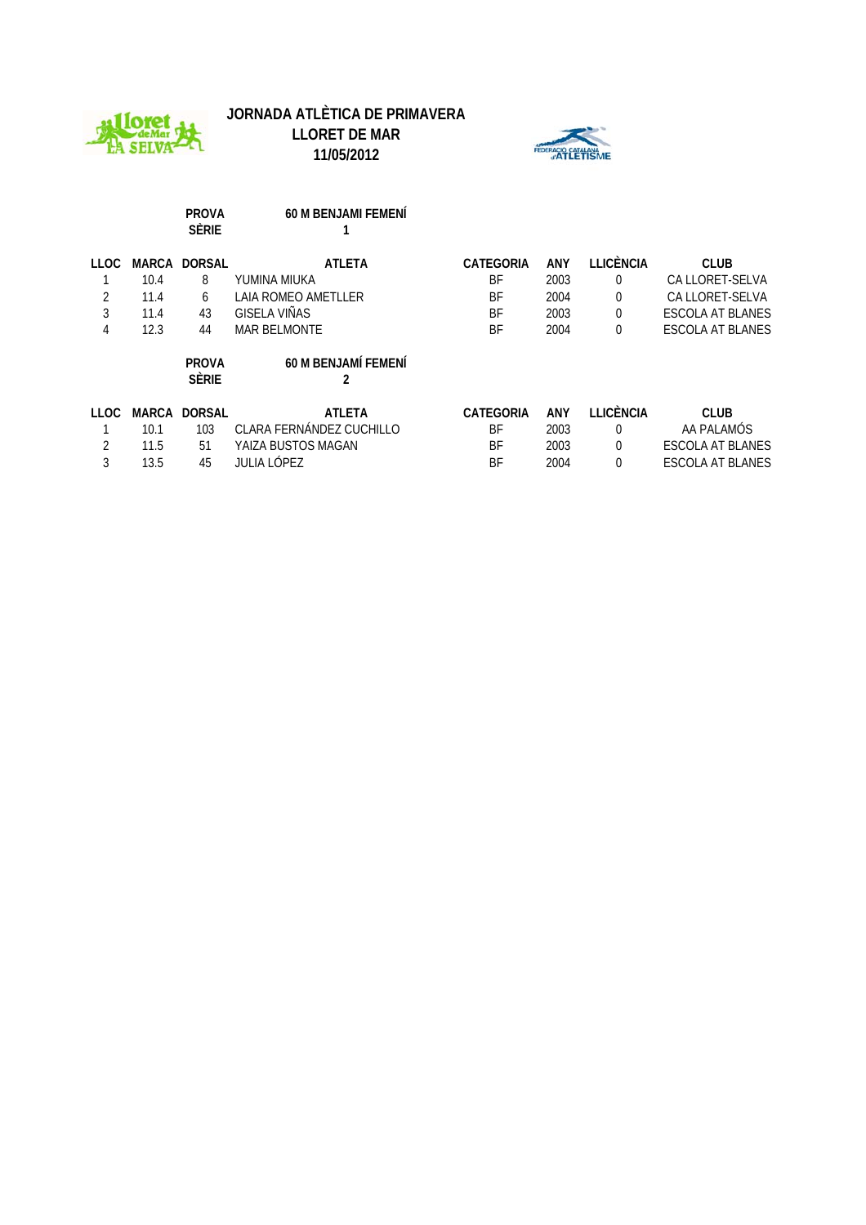





|       | <b>PROVA</b><br><b>SÈRIE</b> | <b>60 M BENJAMI FEMENI</b> |                  |            |                  |                         |
|-------|------------------------------|----------------------------|------------------|------------|------------------|-------------------------|
|       |                              | <b>ATLETA</b>              | <b>CATEGORIA</b> | <b>ANY</b> | <b>LLICÈNCIA</b> | <b>CLUB</b>             |
| 10.4  | 8                            | YUMINA MIUKA               | BF               | 2003       | 0                | CA LLORET-SELVA         |
| 11.4  | 6                            | <b>LAIA ROMEO AMETLLER</b> | <b>BF</b>        | 2004       | 0                | CA LLORET-SELVA         |
| 11.4  | 43                           | GISELA VIÑAS               | BF               | 2003       | 0                | <b>ESCOLA AT BLANES</b> |
| 12.3  | 44                           | <b>MAR BELMONTE</b>        | <b>BF</b>        | 2004       | 0                | <b>ESCOLA AT BLANES</b> |
|       | <b>PROVA</b><br><b>SÈRIE</b> | 60 M BENJAMÍ FEMENÍ        |                  |            |                  |                         |
|       |                              |                            |                  |            |                  |                         |
| MARCA | <b>DORSAL</b>                | <b>ATLETA</b>              | <b>CATEGORIA</b> | ANY        | <b>LLICÈNCIA</b> | <b>CLUB</b>             |
| 10.1  | 103                          | CLARA FERNÁNDEZ CUCHILLO   | <b>BF</b>        | 2003       | 0                | AA PALAMÓS              |
| 11.5  | 51                           | YAIZA BUSTOS MAGAN         | BF               | 2003       | 0                | <b>ESCOLA AT BLANES</b> |
|       |                              | <b>MARCA DORSAL</b>        |                  |            |                  |                         |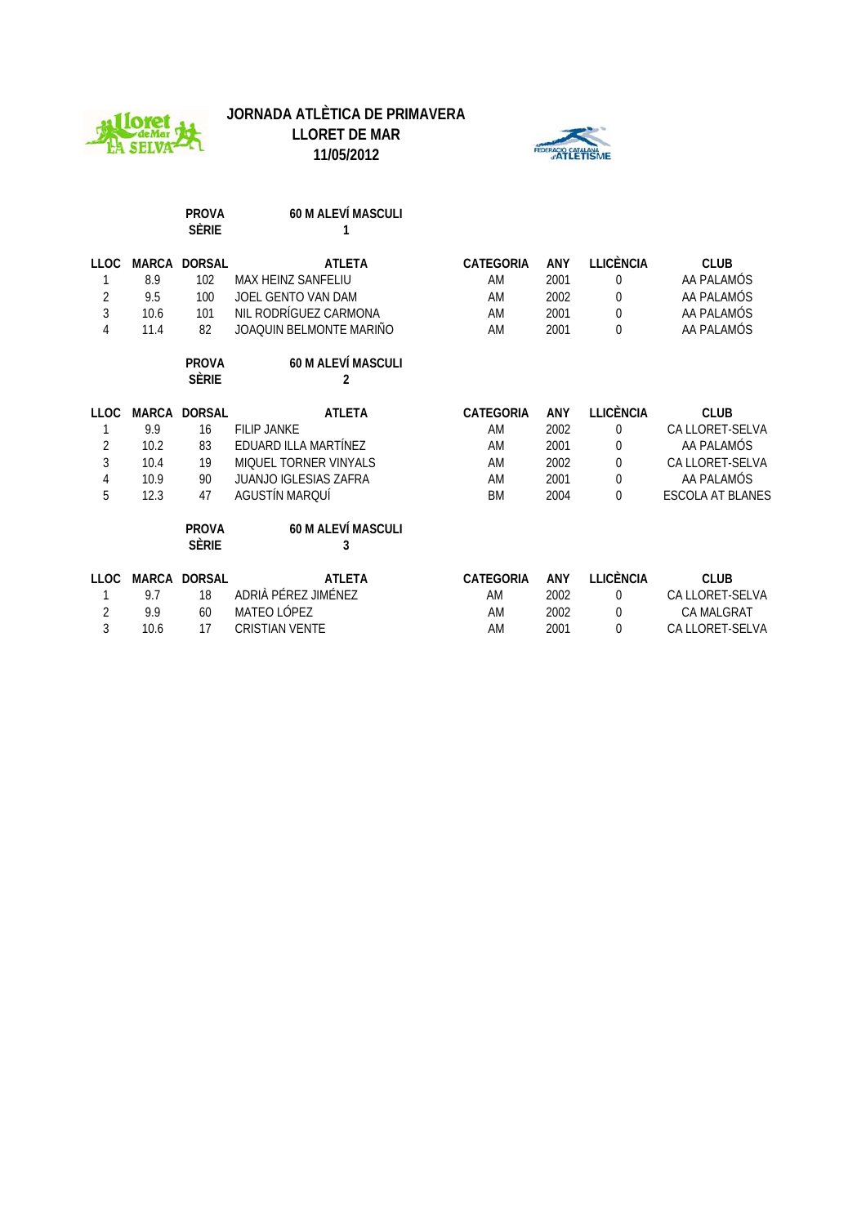



ΛE

|                |              | <b>PROVA</b><br><b>SÈRIE</b> | <b>60 M ALEVÍ MASCULI</b><br>1 |                  |      |                  |                         |
|----------------|--------------|------------------------------|--------------------------------|------------------|------|------------------|-------------------------|
| <b>LLOC</b>    | MARCA        | <b>DORSAL</b>                | <b>ATLETA</b>                  | <b>CATEGORIA</b> | ANY  | <b>LLICÈNCIA</b> | <b>CLUB</b>             |
|                | 8.9          | 102                          | MAX HEINZ SANFELIU             | AM               | 2001 | 0                | AA PALAMÓS              |
| $\overline{2}$ | 9.5          | 100                          | JOEL GENTO VAN DAM             | AM               | 2002 | 0                | AA PALAMÓS              |
| 3              | 10.6         | 101                          | NIL RODRÍGUEZ CARMONA          | AM               | 2001 | $\mathbf 0$      | AA PALAMÓS              |
| 4              | 11.4         | 82                           | JOAQUIN BELMONTE MARIÑO        | AM               | 2001 | 0                | AA PALAMÓS              |
|                |              | <b>PROVA</b>                 | 60 M ALEVÍ MASCULI             |                  |      |                  |                         |
|                |              | <b>SÈRIE</b>                 | 2                              |                  |      |                  |                         |
| <b>LLOC</b>    | MARCA        | <b>DORSAL</b>                | <b>ATLETA</b>                  | <b>CATEGORIA</b> | ANY  | <b>LLICÈNCIA</b> | <b>CLUB</b>             |
|                | 9.9          | 16                           | <b>FILIP JANKE</b>             | AM               | 2002 | 0                | CA LLORET-SELVA         |
| $\overline{2}$ | 10.2         | 83                           | EDUARD ILLA MARTÍNEZ           | AM               | 2001 | 0                | AA PALAMÓS              |
| 3              | 10.4         | 19                           | MIQUEL TORNER VINYALS          | AM               | 2002 | 0                | CA LLORET-SELVA         |
| 4              | 10.9         | 90                           | <b>JUANJO IGLESIAS ZAFRA</b>   | AM               | 2001 | 0                | AA PALAMÓS              |
| 5              | 12.3         | 47                           | AGUSTÍN MARQUÍ                 | <b>BM</b>        | 2004 | 0                | <b>ESCOLA AT BLANES</b> |
|                |              | <b>PROVA</b><br><b>SÈRIE</b> | <b>60 M ALEVÍ MASCULI</b><br>3 |                  |      |                  |                         |
|                |              |                              |                                |                  |      |                  |                         |
| <b>LLOC</b>    | <b>MARCA</b> | <b>DORSAL</b>                | <b>ATLETA</b>                  | <b>CATEGORIA</b> | ANY  | <b>LLICÈNCIA</b> | <b>CLUB</b>             |
|                | 9.7          | 18                           | ADRIÀ PÉREZ JIMÉNEZ            | AM               | 2002 | 0                | CA LLORET-SELVA         |
| $\overline{2}$ | 9.9          | 60                           | MATEO LÓPEZ                    | AM               | 2002 | 0                | <b>CA MALGRAT</b>       |
| 3              | 10.6         | 17                           | <b>CRISTIAN VENTE</b>          | AM               | 2001 | 0                | CA LLORET-SELVA         |